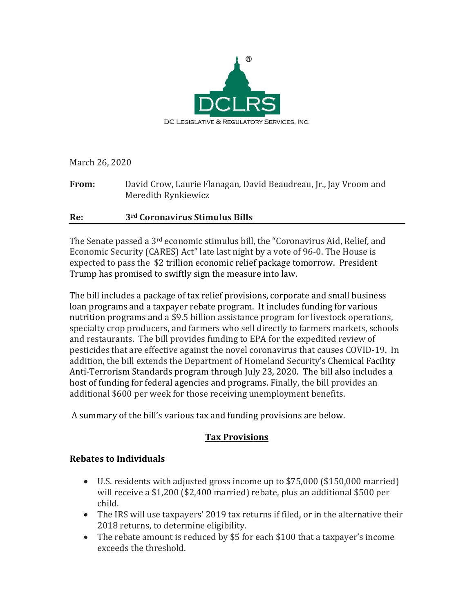

March 26, 2020

**From:** David Crow, Laurie Flanagan, David Beaudreau, Jr., Jay Vroom and Meredith Rynkiewicz

### **Re: 3rd Coronavirus Stimulus Bills**

The Senate passed a 3rd economic stimulus bill, the "Coronavirus Aid, Relief, and Economic Security (CARES) Act" late last night by a vote of 96-0. The House is expected to pass the \$2 trillion economic relief package tomorrow. President Trump has promised to swiftly sign the measure into law.

The bill includes a package of tax relief provisions, corporate and small business loan programs and a taxpayer rebate program. It includes funding for various nutrition programs and a \$9.5 billion assistance program for livestock operations, specialty crop producers, and farmers who sell directly to farmers markets, schools and restaurants. The bill provides funding to EPA for the expedited review of pesticides that are effective against the novel coronavirus that causes COVID-19. In addition, the bill extends the Department of Homeland Security's Chemical Facility Anti-Terrorism Standards program through July 23, 2020. The bill also includes a host of funding for federal agencies and programs. Finally, the bill provides an additional \$600 per week for those receiving unemployment benefits.

A summary of the bill's various tax and funding provisions are below.

# **Tax Provisions**

#### **Rebates to Individuals**

- U.S. residents with adjusted gross income up to \$75,000 (\$150,000 married) will receive a \$1,200 (\$2,400 married) rebate, plus an additional \$500 per child.
- The IRS will use taxpayers' 2019 tax returns if filed, or in the alternative their 2018 returns, to determine eligibility.
- The rebate amount is reduced by \$5 for each \$100 that a taxpayer's income exceeds the threshold.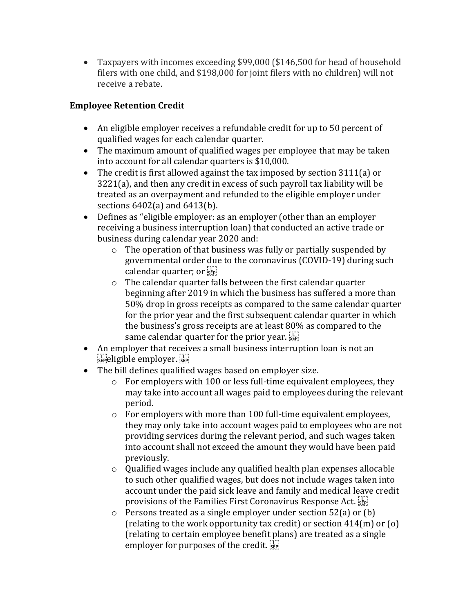• Taxpayers with incomes exceeding \$99,000 (\$146,500 for head of household filers with one child, and \$198,000 for joint filers with no children) will not receive a rebate.

# **Employee Retention Credit**

- An eligible employer receives a refundable credit for up to 50 percent of qualified wages for each calendar quarter.
- The maximum amount of qualified wages per employee that may be taken into account for all calendar quarters is \$10,000.
- The credit is first allowed against the tax imposed by section 3111(a) or 3221(a), and then any credit in excess of such payroll tax liability will be treated as an overpayment and refunded to the eligible employer under sections 6402(a) and 6413(b).
- Defines as "eligible employer: as an employer (other than an employer receiving a business interruption loan) that conducted an active trade or business during calendar year 2020 and:
	- o The operation of that business was fully or partially suspended by governmental order due to the coronavirus (COVID-19) during such calendar quarter; or
	- o The calendar quarter falls between the first calendar quarter beginning after 2019 in which the business has suffered a more than 50% drop in gross receipts as compared to the same calendar quarter for the prior year and the first subsequent calendar quarter in which the business's gross receipts are at least 80% as compared to the same calendar quarter for the prior year.  $\sum_{s \in \mathbb{N}}$
- An employer that receives a small business interruption loan is not an  $\sum_{s \in P}$ eligible employer.
- The bill defines qualified wages based on employer size.
	- $\circ$  For employers with 100 or less full-time equivalent employees, they may take into account all wages paid to employees during the relevant period.
	- o For employers with more than 100 full-time equivalent employees, they may only take into account wages paid to employees who are not providing services during the relevant period, and such wages taken into account shall not exceed the amount they would have been paid previously.
	- o Qualified wages include any qualified health plan expenses allocable to such other qualified wages, but does not include wages taken into account under the paid sick leave and family and medical leave credit provisions of the Families First Coronavirus Response Act.
	- o Persons treated as a single employer under section 52(a) or (b) (relating to the work opportunity tax credit) or section 414(m) or (o) (relating to certain employee benefit plans) are treated as a single employer for purposes of the credit.  $\frac{1}{25}$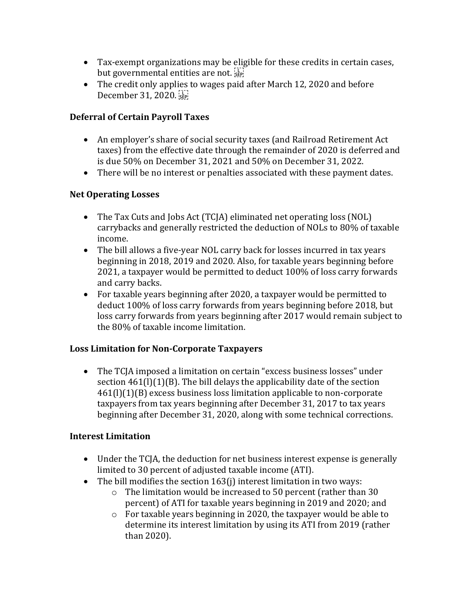- Tax-exempt organizations may be eligible for these credits in certain cases, but governmental entities are not.
- The credit only applies to wages paid after March 12, 2020 and before December 31, 2020.

# **Deferral of Certain Payroll Taxes**

- An employer's share of social security taxes (and Railroad Retirement Act taxes) from the effective date through the remainder of 2020 is deferred and is due 50% on December 31, 2021 and 50% on December 31, 2022.
- There will be no interest or penalties associated with these payment dates.

# **Net Operating Losses**

- The Tax Cuts and Jobs Act (TCJA) eliminated net operating loss (NOL) carrybacks and generally restricted the deduction of NOLs to 80% of taxable income.
- The bill allows a five-year NOL carry back for losses incurred in tax years beginning in 2018, 2019 and 2020. Also, for taxable years beginning before 2021, a taxpayer would be permitted to deduct 100% of loss carry forwards and carry backs.
- For taxable years beginning after 2020, a taxpayer would be permitted to deduct 100% of loss carry forwards from years beginning before 2018, but loss carry forwards from years beginning after 2017 would remain subject to the 80% of taxable income limitation.

# **Loss Limitation for Non-Corporate Taxpayers**

• The TCJA imposed a limitation on certain "excess business losses" under section 461(l)(1)(B). The bill delays the applicability date of the section 461(l)(1)(B) excess business loss limitation applicable to non-corporate taxpayers from tax years beginning after December 31, 2017 to tax years beginning after December 31, 2020, along with some technical corrections.

# **Interest Limitation**

- Under the TCJA, the deduction for net business interest expense is generally limited to 30 percent of adjusted taxable income (ATI).
- The bill modifies the section 163(j) interest limitation in two ways:
	- o The limitation would be increased to 50 percent (rather than 30 percent) of ATI for taxable years beginning in 2019 and 2020; and
	- o For taxable years beginning in 2020, the taxpayer would be able to determine its interest limitation by using its ATI from 2019 (rather than 2020).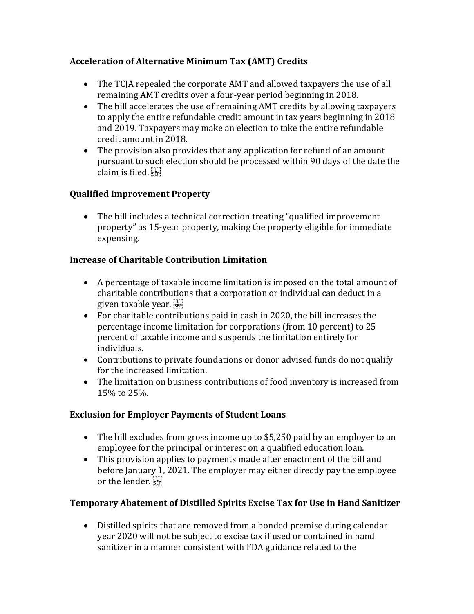# **Acceleration of Alternative Minimum Tax (AMT) Credits**

- The TCJA repealed the corporate AMT and allowed taxpayers the use of all remaining AMT credits over a four-year period beginning in 2018.
- The bill accelerates the use of remaining AMT credits by allowing taxpayers to apply the entire refundable credit amount in tax years beginning in 2018 and 2019. Taxpayers may make an election to take the entire refundable credit amount in 2018.
- The provision also provides that any application for refund of an amount pursuant to such election should be processed within 90 days of the date the claim is filed.  $\sum_{s \in \mathbb{R}^n}$

# **Qualified Improvement Property**

• The bill includes a technical correction treating "qualified improvement" property" as 15-year property, making the property eligible for immediate expensing.

# **Increase of Charitable Contribution Limitation**

- A percentage of taxable income limitation is imposed on the total amount of charitable contributions that a corporation or individual can deduct in a given taxable year.
- For charitable contributions paid in cash in 2020, the bill increases the percentage income limitation for corporations (from 10 percent) to 25 percent of taxable income and suspends the limitation entirely for individuals.
- Contributions to private foundations or donor advised funds do not qualify for the increased limitation.
- The limitation on business contributions of food inventory is increased from 15% to 25%.

# **Exclusion for Employer Payments of Student Loans**

- The bill excludes from gross income up to \$5,250 paid by an employer to an employee for the principal or interest on a qualified education loan.
- This provision applies to payments made after enactment of the bill and before January 1, 2021. The employer may either directly pay the employee or the lender.

# **Temporary Abatement of Distilled Spirits Excise Tax for Use in Hand Sanitizer**

• Distilled spirits that are removed from a bonded premise during calendar year 2020 will not be subject to excise tax if used or contained in hand sanitizer in a manner consistent with FDA guidance related to the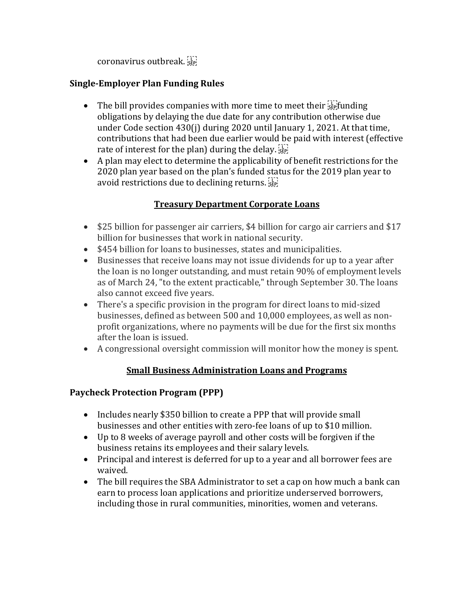coronavirus outbreak.

# **Single-Employer Plan Funding Rules**

- The bill provides companies with more time to meet their  $\sum_{s\in\mathbb{N}}$  funding obligations by delaying the due date for any contribution otherwise due under Code section 430(j) during 2020 until January 1, 2021. At that time, contributions that had been due earlier would be paid with interest (effective rate of interest for the plan) during the delay.
- A plan may elect to determine the applicability of benefit restrictions for the 2020 plan year based on the plan's funded status for the 2019 plan year to avoid restrictions due to declining returns.

# **Treasury Department Corporate Loans**

- \$25 billion for passenger air carriers, \$4 billion for cargo air carriers and \$17 billion for businesses that work in national security.
- \$454 billion for loans to businesses, states and municipalities.
- Businesses that receive loans may not issue dividends for up to a year after the loan is no longer outstanding, and must retain 90% of employment levels as of March 24, "to the extent practicable," through September 30. The loans also cannot exceed five years.
- There's a specific provision in the program for direct loans to mid-sized businesses, defined as between 500 and 10,000 employees, as well as nonprofit organizations, where no payments will be due for the first six months after the loan is issued.
- A congressional oversight commission will monitor how the money is spent.

# **Small Business Administration Loans and Programs**

# **Paycheck Protection Program (PPP)**

- Includes nearly \$350 billion to create a PPP that will provide small businesses and other entities with zero-fee loans of up to \$10 million.
- Up to 8 weeks of average payroll and other costs will be forgiven if the business retains its employees and their salary levels.
- Principal and interest is deferred for up to a year and all borrower fees are waived.
- The bill requires the SBA Administrator to set a cap on how much a bank can earn to process loan applications and prioritize underserved borrowers, including those in rural communities, minorities, women and veterans.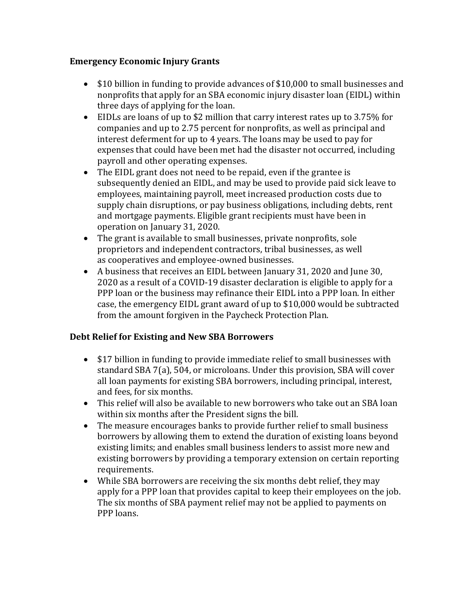### **Emergency Economic Injury Grants**

- \$10 billion in funding to provide advances of \$10,000 to small businesses and nonprofits that apply for an SBA economic injury disaster loan (EIDL) within three days of applying for the loan.
- EIDLs are loans of up to \$2 million that carry interest rates up to 3.75% for companies and up to 2.75 percent for nonprofits, as well as principal and interest deferment for up to 4 years. The loans may be used to pay for expenses that could have been met had the disaster not occurred, including payroll and other operating expenses.
- The EIDL grant does not need to be repaid, even if the grantee is subsequently denied an EIDL, and may be used to provide paid sick leave to employees, maintaining payroll, meet increased production costs due to supply chain disruptions, or pay business obligations, including debts, rent and mortgage payments. Eligible grant recipients must have been in operation on January 31, 2020.
- The grant is available to small businesses, private nonprofits, sole proprietors and independent contractors, tribal businesses, as well as cooperatives and employee-owned businesses.
- A business that receives an EIDL between January 31, 2020 and June 30, 2020 as a result of a COVID-19 disaster declaration is eligible to apply for a PPP loan or the business may refinance their EIDL into a PPP loan. In either case, the emergency EIDL grant award of up to \$10,000 would be subtracted from the amount forgiven in the Paycheck Protection Plan.

# **Debt Relief for Existing and New SBA Borrowers**

- \$17 billion in funding to provide immediate relief to small businesses with standard SBA 7(a), 504, or microloans. Under this provision, SBA will cover all loan payments for existing SBA borrowers, including principal, interest, and fees, for six months.
- This relief will also be available to new borrowers who take out an SBA loan within six months after the President signs the bill.
- The measure encourages banks to provide further relief to small business borrowers by allowing them to extend the duration of existing loans beyond existing limits; and enables small business lenders to assist more new and existing borrowers by providing a temporary extension on certain reporting requirements.
- While SBA borrowers are receiving the six months debt relief, they may apply for a PPP loan that provides capital to keep their employees on the job. The six months of SBA payment relief may not be applied to payments on PPP loans.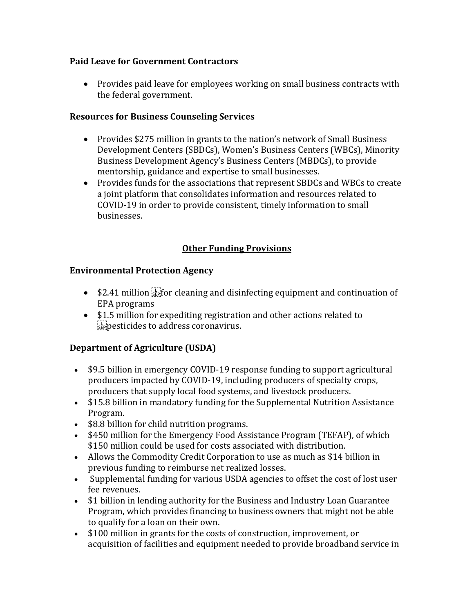### **Paid Leave for Government Contractors**

• Provides paid leave for employees working on small business contracts with the federal government.

### **Resources for Business Counseling Services**

- Provides \$275 million in grants to the nation's network of Small Business Development Centers (SBDCs), Women's Business Centers (WBCs), Minority Business Development Agency's Business Centers (MBDCs), to provide mentorship, guidance and expertise to small businesses.
- Provides funds for the associations that represent SBDCs and WBCs to create a joint platform that consolidates information and resources related to COVID-19 in order to provide consistent, timely information to small businesses.

# **Other Funding Provisions**

### **Environmental Protection Agency**

- $\bullet$  \$2.41 million  $\frac{1}{2}$  for cleaning and disinfecting equipment and continuation of EPA programs
- \$1.5 million for expediting registration and other actions related to  $\sum_{s \in P}$  pesticides to address coronavirus.

# **Department of Agriculture (USDA)**

- \$9.5 billion in emergency COVID-19 response funding to support agricultural producers impacted by COVID-19, including producers of specialty crops, producers that supply local food systems, and livestock producers.
- \$15.8 billion in mandatory funding for the Supplemental Nutrition Assistance Program.
- \$8.8 billion for child nutrition programs.
- \$450 million for the Emergency Food Assistance Program (TEFAP), of which \$150 million could be used for costs associated with distribution.
- Allows the Commodity Credit Corporation to use as much as \$14 billion in previous funding to reimburse net realized losses.
- Supplemental funding for various USDA agencies to offset the cost of lost user fee revenues.
- \$1 billion in lending authority for the Business and Industry Loan Guarantee Program, which provides financing to business owners that might not be able to qualify for a loan on their own.
- \$100 million in grants for the costs of construction, improvement, or acquisition of facilities and equipment needed to provide broadband service in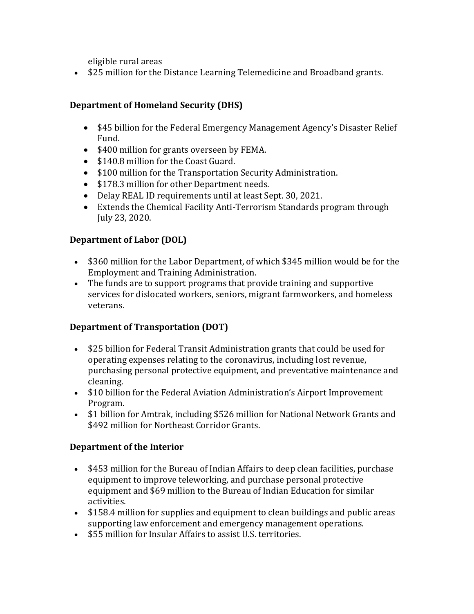eligible rural areas

• \$25 million for the Distance Learning Telemedicine and Broadband grants.

# **Department of Homeland Security (DHS)**

- \$45 billion for the Federal Emergency Management Agency's Disaster Relief Fund.
- \$400 million for grants overseen by FEMA.
- \$140.8 million for the Coast Guard.
- \$100 million for the Transportation Security Administration.
- \$178.3 million for other Department needs.
- Delay REAL ID requirements until at least Sept. 30, 2021.
- Extends the Chemical Facility Anti-Terrorism Standards program through July 23, 2020.

# **Department of Labor (DOL)**

- \$360 million for the Labor Department, of which \$345 million would be for the Employment and Training Administration.
- The funds are to support programs that provide training and supportive services for dislocated workers, seniors, migrant farmworkers, and homeless veterans.

# **Department of Transportation (DOT)**

- \$25 billion for Federal Transit Administration grants that could be used for operating expenses relating to the coronavirus, including lost revenue, purchasing personal protective equipment, and preventative maintenance and cleaning.
- \$10 billion for the Federal Aviation Administration's Airport Improvement Program.
- [\\$1 billion for Amtrak,](https://www.bgov.com/core/news_articles/Q7RGUET1UM0W) including \$526 million for National Network Grants and \$492 million for Northeast Corridor Grants.

# **Department of the Interior**

- \$453 million for the Bureau of Indian Affairs to deep clean facilities, purchase equipment to improve teleworking, and purchase personal protective equipment and \$69 million to the Bureau of Indian Education for similar activities.
- \$158.4 million for supplies and equipment to clean buildings and public areas supporting law enforcement and emergency management operations.
- \$55 million for Insular Affairs to assist U.S. territories.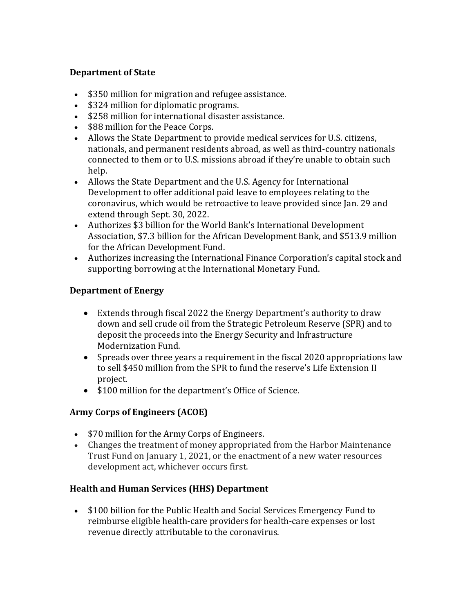### **Department of State**

- \$350 million for migration and refugee assistance.
- \$324 million for diplomatic programs.
- \$258 million for international disaster assistance.
- \$88 million for the Peace Corps.
- Allows the State Department to provide medical services for U.S. citizens, nationals, and permanent residents abroad, as well as third-country nationals connected to them or to U.S. missions abroad if they're unable to obtain such help.
- Allows the State Department and the U.S. Agency for International Development to offer additional paid leave to employees relating to the coronavirus, which would be retroactive to leave provided since Jan. 29 and extend through Sept. 30, 2022.
- Authorizes \$3 billion for the World Bank's International Development Association, \$7.3 billion for the African Development Bank, and \$513.9 million for the African Development Fund.
- Authorizes increasing the International Finance Corporation's capital stock and supporting borrowing at the International Monetary Fund.

# **Department of Energy**

- Extends through fiscal 2022 the Energy Department's authority to draw down and sell crude oil from the Strategic Petroleum Reserve (SPR) and to deposit the proceeds into the Energy Security and Infrastructure Modernization Fund.
- Spreads over three years a requirement in the fiscal 2020 appropriations law to sell \$450 million from the SPR to fund the reserve's Life Extension II project.
- \$100 million for the department's Office of Science.

# **Army Corps of Engineers (ACOE)**

- \$70 million for the Army Corps of Engineers.
- Changes the treatment of money appropriated from the Harbor Maintenance Trust Fund on January 1, 2021, or the enactment of a new water resources development act, whichever occurs first.

#### **Health and Human Services (HHS) Department**

• \$100 billion for the Public Health and Social Services Emergency Fund to reimburse eligible health-care providers for health-care expenses or lost revenue directly attributable to the coronavirus.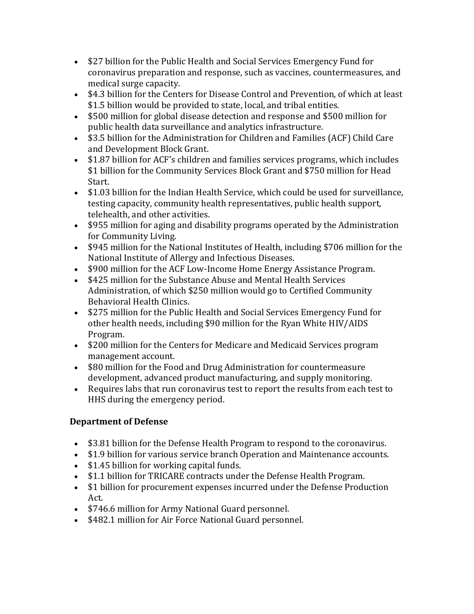- \$27 billion for the Public Health and Social Services Emergency Fund for coronavirus preparation and response, such as vaccines, countermeasures, and medical surge capacity.
- \$4.3 billion for the Centers for Disease Control and Prevention, of which at least \$1.5 billion would be provided to state, local, and tribal entities.
- \$500 million for global disease detection and response and \$500 million for public health data surveillance and analytics infrastructure.
- \$3.5 billion for the Administration for Children and Families (ACF) Child Care and Development Block Grant.
- \$1.87 billion for ACF's children and families services programs, which includes \$1 billion for the Community Services Block Grant and \$750 million for Head Start.
- \$1.03 billion for the Indian Health Service, which could be used for surveillance, testing capacity, community health representatives, public health support, telehealth, and other activities.
- \$955 million for aging and disability programs operated by the Administration for Community Living.
- \$945 million for the National Institutes of Health, including \$706 million for the National Institute of Allergy and Infectious Diseases.
- \$900 million for the ACF Low-Income Home Energy Assistance Program.
- \$425 million for the Substance Abuse and Mental Health Services Administration, of which \$250 million would go to Certified Community Behavioral Health Clinics.
- \$275 million for the Public Health and Social Services Emergency Fund for other health needs, including \$90 million for the Ryan White HIV/AIDS Program.
- \$200 million for the Centers for Medicare and Medicaid Services program management account.
- \$80 million for the Food and Drug Administration for countermeasure development, advanced product manufacturing, and supply monitoring.
- Requires labs that run coronavirus test to report the results from each test to HHS during the emergency period.

# **Department of Defense**

- \$3.81 billion for the Defense Health Program to respond to the coronavirus.
- \$1.9 billion for various service branch Operation and Maintenance accounts.
- \$1.45 billion for working capital funds.
- \$1.1 billion for TRICARE contracts under the Defense Health Program.
- \$1 billion for procurement expenses incurred under the Defense Production Act.
- \$746.6 million for Army National Guard personnel.
- \$482.1 million for Air Force National Guard personnel.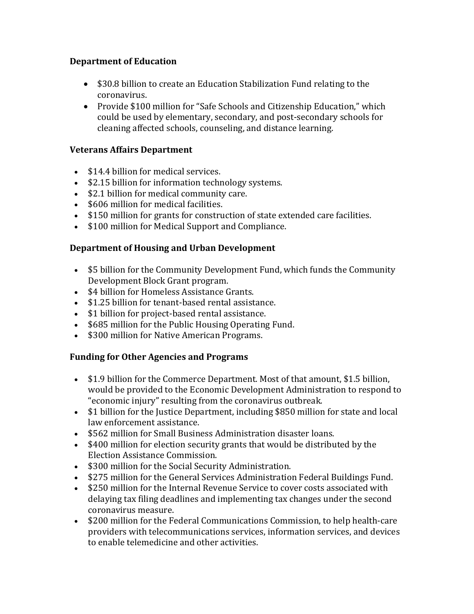### **Department of Education**

- \$30.8 billion to create an Education Stabilization Fund relating to the coronavirus.
- Provide \$100 million for "Safe Schools and Citizenship Education," which could be used by elementary, secondary, and post-secondary schools for cleaning affected schools, counseling, and distance learning.

# **Veterans Affairs Department**

- \$14.4 billion for medical services.
- \$2.15 billion for information technology systems.
- \$2.1 billion for medical community care.
- \$606 million for medical facilities.
- \$150 million for grants for construction of state extended care facilities.
- \$100 million for Medical Support and Compliance.

### **Department of Housing and Urban Development**

- \$5 billion for the Community Development Fund, which funds the Community Development Block Grant program.
- \$4 billion for Homeless Assistance Grants.
- \$1.25 billion for tenant-based rental assistance.
- \$1 billion for project-based rental assistance.
- \$685 million for the Public Housing Operating Fund.
- \$300 million for Native American Programs.

#### **Funding for Other Agencies and Programs**

- \$1.9 billion for the Commerce Department. Most of that amount, \$1.5 billion, would be provided to the Economic Development Administration to respond to "economic injury" resulting from the coronavirus outbreak.
- \$1 billion for the Justice Department, including \$850 million for state and local law enforcement assistance.
- \$562 million for Small Business Administration disaster loans.
- \$400 million for election security grants that would be distributed by the Election Assistance Commission.
- \$300 million for the Social Security Administration.
- \$275 million for the General Services Administration Federal Buildings Fund.
- \$250 million for the Internal Revenue Service to cover costs associated with delaying tax filing deadlines and implementing tax changes under the second coronavirus measure.
- \$200 million for the Federal Communications Commission, to help health-care providers with telecommunications services, information services, and devices to enable telemedicine and other activities.